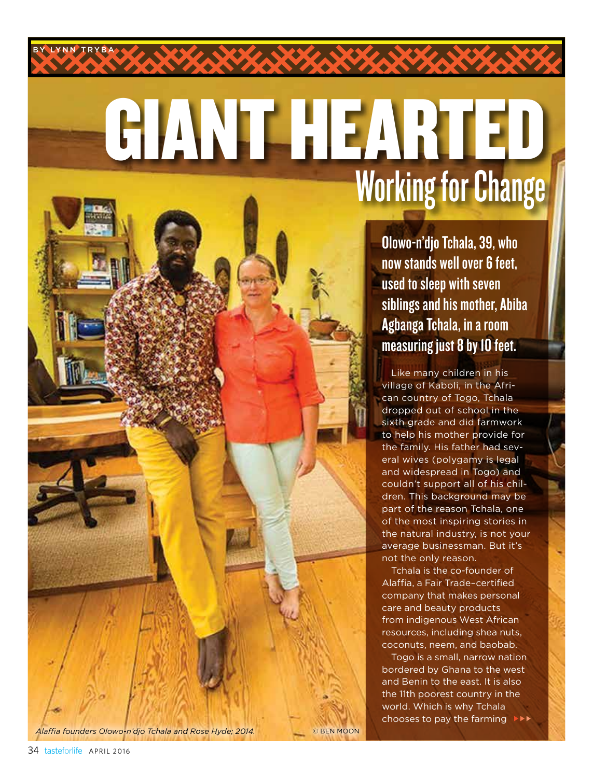# GIANT HEARTED Working for Change

Olowo-n'djo Tchala, 39, who now stands well over 6 feet, used to sleep with seven siblings and his mother, Abiba Agbanga Tchala, in a room measuring just 8 by 10 feet.

Like many children in his village of Kaboli, in the African country of Togo, Tchala dropped out of school in the sixth grade and did farmwork to help his mother provide for the family. His father had several wives (polygamy is legal and widespread in Togo) and couldn't support all of his children. This background may be part of the reason Tchala, one of the most inspiring stories in the natural industry, is not your average businessman. But it's not the only reason.

Tchala is the co-founder of Alaffia, a Fair Trade–certified company that makes personal care and beauty products from indigenous West African resources, including shea nuts, coconuts, neem, and baobab.

Togo is a small, narrow nation bordered by Ghana to the west and Benin to the east. It is also the 11th poorest country in the world. Which is why Tchala chooses to pay the farming

*Alaffia founders Olowo-n'djo Tchala and Rose Hyde; 2014.* © BEN MOON

BY LYNN TRYBA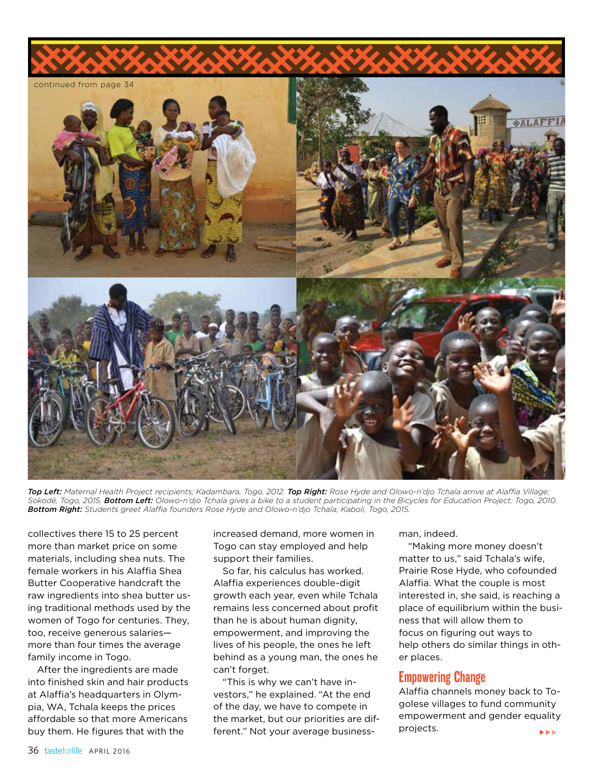

*Top Left: Maternal Health Project recipients; Kadambara, Togo, 2012. Top Right: Rose Hyde and Olowo-n'djo Tchala arrive at Alaffia Village; Sokodé, Togo, 2015. Bottom Left: Olowo-n'djo Tchala gives a bike to a student participating in the Bicycles for Education Project; Togo, 2010. Bottom Right: Students greet Alaffia founders Rose Hyde and Olowo-n'djo Tchala; Kaboli, Togo, 2015.*

collectives there 15 to 25 percent more than market price on some materials, including shea nuts. The female workers in his Alaffia Shea Butter Cooperative handcraft the raw ingredients into shea butter using traditional methods used by the women of Togo for centuries. They, too, receive generous salaries more than four times the average family income in Togo.

After the ingredients are made into finished skin and hair products at Alaffia's headquarters in Olympia, WA, Tchala keeps the prices affordable so that more Americans buy them. He figures that with the

increased demand, more women in Togo can stay employed and help support their families.

So far, his calculus has worked. Alaffia experiences double-digit growth each year, even while Tchala remains less concerned about profit than he is about human dignity, empowerment, and improving the lives of his people, the ones he left behind as a young man, the ones he can't forget.

"This is why we can't have investors," he explained. "At the end of the day, we have to compete in the market, but our priorities are different." Not your average businessman, indeed.

"Making more money doesn't matter to us," said Tchala's wife, Prairie Rose Hyde, who cofounded Alaffia. What the couple is most interested in, she said, is reaching a place of equilibrium within the business that will allow them to focus on figuring out ways to help others do similar things in other places.

### Empowering Change

Alaffia channels money back to Togolese villages to fund community empowerment and gender equality projects. **EEE**